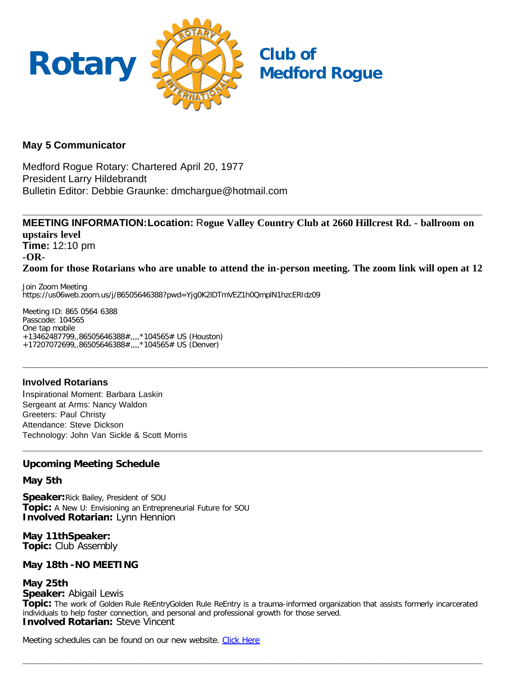

## **May 5 Communicator**

Medford Rogue Rotary: Chartered April 20, 1977 President Larry Hildebrandt Bulletin Editor: Debbie Graunke: dmchargue@hotmail.com

**MEETING INFORMATION:Location:** R**ogue Valley Country Club at 2660 Hillcrest Rd. - ballroom on upstairs level Time:** 12:10 pm **-OR-Zoom for those Rotarians who are unable to attend the in-person meeting. The zoom link will open at 12**

**\_\_\_\_\_\_\_\_\_\_\_\_\_\_\_\_\_\_\_\_\_\_\_\_\_\_\_\_\_\_\_\_\_\_\_\_\_\_\_\_\_\_\_\_\_\_\_\_\_\_\_\_\_\_\_\_\_\_\_\_\_\_\_\_\_\_\_\_\_\_\_\_\_\_\_\_\_\_\_\_\_\_**

**\_\_\_\_\_\_\_\_\_\_\_\_\_\_\_\_\_\_\_\_\_\_\_\_\_\_\_\_\_\_\_\_\_\_\_\_\_\_\_\_\_\_\_\_\_\_\_\_\_\_\_\_\_\_\_\_\_\_\_\_\_\_\_\_\_\_\_\_\_\_\_\_\_\_\_\_\_\_\_\_\_**

**\_\_\_\_\_\_\_\_\_\_\_\_\_\_\_\_\_\_\_\_\_\_\_\_\_\_\_\_\_\_\_\_\_\_\_\_\_\_\_\_\_\_\_\_\_\_\_\_\_\_\_\_\_\_\_\_\_\_\_\_\_\_\_\_\_\_\_\_\_\_\_\_\_\_\_\_\_\_\_\_\_**

Join Zoom Meeting https://us06web.zoom.us/j/86505646388?pwd=Yjg0K2lDTmVEZ1h0QmplN1hzcERIdz09

Meeting ID: 865 0564 6388 Passcode: 104565 One tap mobile +13462487799,,86505646388#,,,,\*104565# US (Houston) +17207072699,,86505646388#,,,,\*104565# US (Denver)

## **Involved Rotarians**

Inspirational Moment: Barbara Laskin Sergeant at Arms: Nancy Waldon Greeters: Paul Christy Attendance: Steve Dickson Technology: John Van Sickle & Scott Morris

## **Upcoming Meeting Schedule**

#### **May 5th**

**Speaker:**Rick Bailey, President of SOU **Topic:** A New U: Envisioning an Entrepreneurial Future for SOU **Involved Rotarian:** Lynn Hennion

**May 11thSpeaker: Topic:** Club Assembly

#### **May 18th -NO MEETING**

## **May 25th**

**Speaker:** Abigail Lewis

**Topic:** The work of Golden Rule ReEntryGolden Rule ReEntry is a trauma-informed organization that assists formerly incarcerated individuals to help foster connection, and personal and professional growth for those served. **Involved Rotarian:** Steve Vincent

**\_\_\_\_\_\_\_\_\_\_\_\_\_\_\_\_\_\_\_\_\_\_\_\_\_\_\_\_\_\_\_\_\_\_\_\_\_\_\_\_\_\_\_\_\_\_\_\_\_\_\_\_\_\_\_\_\_\_\_\_\_\_\_\_\_\_\_\_\_\_\_\_\_\_\_\_\_\_\_\_\_**

Meeting schedules can be found on our new website. [Click Here](https://medfordrogue.org/)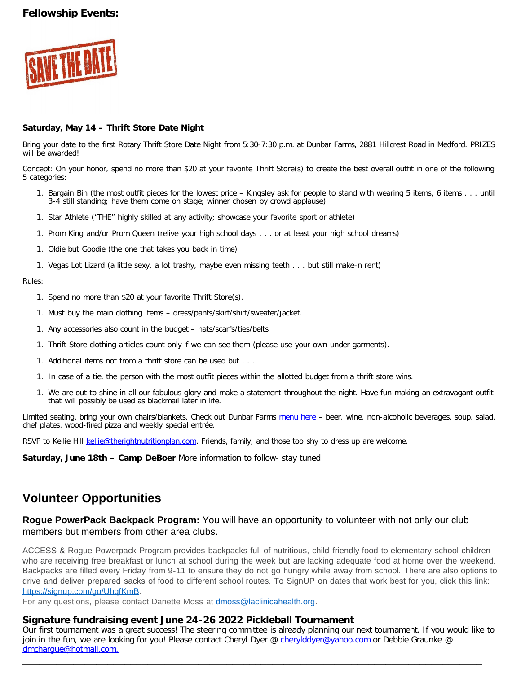## **Fellowship Events:**



#### **Saturday, May 14 – Thrift Store Date Night**

Bring your date to the first Rotary Thrift Store Date Night from 5:30-7:30 p.m. at Dunbar Farms, 2881 Hillcrest Road in Medford. PRIZES will be awarded!

Concept: On your honor, spend no more than \$20 at your favorite Thrift Store(s) to create the best overall outfit in one of the following 5 categories:

- 1. Bargain Bin (the most outfit pieces for the lowest price Kingsley ask for people to stand with wearing 5 items, 6 items . . . until 3-4 still standing; have them come on stage; winner chosen by crowd applause)
- 1. Star Athlete ("THE" highly skilled at any activity; showcase your favorite sport or athlete)
- 1. Prom King and/or Prom Queen (relive your high school days . . . or at least your high school dreams)
- 1. Oldie but Goodie (the one that takes you back in time)
- 1. Vegas Lot Lizard (a little sexy, a lot trashy, maybe even missing teeth . . . but still make-n rent)

#### Rules:

- 1. Spend no more than \$20 at your favorite Thrift Store(s).
- 1. Must buy the main clothing items dress/pants/skirt/shirt/sweater/jacket.
- 1. Any accessories also count in the budget hats/scarfs/ties/belts
- 1. Thrift Store clothing articles count only if we can see them (please use your own under garments).
- 1. Additional items not from a thrift store can be used but . . .
- 1. In case of a tie, the person with the most outfit pieces within the allotted budget from a thrift store wins.
- 1. We are out to shine in all our fabulous glory and make a statement throughout the night. Have fun making an extravagant outfit that will possibly be used as blackmail later in life.

Limited seating, bring your own chairs/blankets. Check out Dunbar Farms [menu here](mailto:https://www.dunbarfarms.com/menu) - beer, wine, non-alcoholic beverages, soup, salad, chef plates, wood-fired pizza and weekly special entrée.

RSVP to Kellie Hill [kellie@therightnutritionplan.com.](mailto:kellie@therightnutritionplan.com) Friends, family, and those too shy to dress up are welcome.

**Saturday, June 18th – Camp DeBoer** More information to follow- stay tuned

# **Volunteer Opportunities**

### **Rogue PowerPack Backpack Program:** You will have an opportunity to volunteer with not only our club members but members from other area clubs.

**\_\_\_\_\_\_\_\_\_\_\_\_\_\_\_\_\_\_\_\_\_\_\_\_\_\_\_\_\_\_\_\_\_\_\_\_\_\_\_\_\_\_\_\_\_\_\_\_\_\_\_\_\_\_\_\_\_\_\_\_\_\_\_\_\_\_\_\_\_\_\_\_\_\_\_\_\_\_\_\_\_**

ACCESS & Rogue Powerpack Program provides backpacks full of nutritious, child-friendly food to elementary school children who are receiving free breakfast or lunch at school during the week but are lacking adequate food at home over the weekend. Backpacks are filled every Friday from 9-11 to ensure they do not go hungry while away from school. There are also options to drive and deliver prepared sacks of food to different school routes. To SignUP on dates that work best for you, click this link: [https://signup.com/go/UhqfKmB.](https://signup.com/go/UhqfKmB)

For any questions, please contact Danette Moss at [dmoss@laclinicahealth.org.](mailto:dmoss@laclinicahealth.org)

#### **Signature fundraising event June 24-26 2022 Pickleball Tournament**

Our first tournament was a great success! The steering committee is already planning our next tournament. If you would like to join in the fun, we are looking for you! Please contact Cheryl Dyer @ [cherylddyer@yahoo.com](mailto:cherylddyer@yahoo.com) or Debbie Graunke @ [dmchargue@hotmail.com.](mailto:dmchargue@hotmail.com)

**\_\_\_\_\_\_\_\_\_\_\_\_\_\_\_\_\_\_\_\_\_\_\_\_\_\_\_\_\_\_\_\_\_\_\_\_\_\_\_\_\_\_\_\_\_\_\_\_\_\_\_\_\_\_\_\_\_\_\_\_\_\_\_\_\_\_\_\_\_\_\_\_\_\_\_\_\_\_\_\_\_**